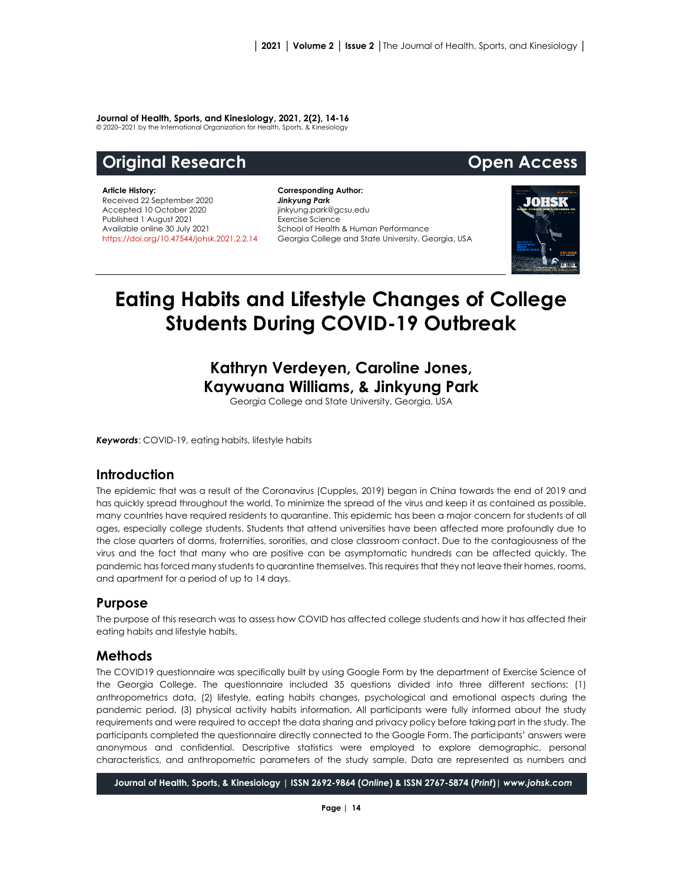#### **Journal of Health, Sports, and Kinesiology, 2021, 2(2), 14-16**

© 2020–2021 by the International Organization for Health, Sports, & Kinesiology

# **Original Research Community Community Community Community Open Access**

#### **Article History:** Received 22 September 2020 Accepted 10 October 2020 Published 1 August 2021 Available online 30 July 2021 [https://doi.org/10.47544/johsk.2021.2.2.1](https://doi.org/10.47544/johsk.2021.2.2.)4

**Corresponding Author:** *Jinkyung Park* jinkyung.park@gcsu,edu Exercise Science School of Health & Human Performance Georgia College and State University, Georgia, USA



# **Eating Habits and Lifestyle Changes of College Students During COVID-19 Outbreak**

# **Kathryn Verdeyen, Caroline Jones, Kaywuana Williams, & Jinkyung Park**

Georgia College and State University, Georgia, USA

*Keywords*: COVID-19, eating habits, lifestyle habits

## **Introduction**

The epidemic that was a result of the Coronavirus (Cupples, 2019) began in China towards the end of 2019 and has quickly spread throughout the world. To minimize the spread of the virus and keep it as contained as possible, many countries have required residents to quarantine. This epidemic has been a major concern for students of all ages, especially college students. Students that attend universities have been affected more profoundly due to the close quarters of dorms, fraternities, sororities, and close classroom contact. Due to the contagiousness of the virus and the fact that many who are positive can be asymptomatic hundreds can be affected quickly. The pandemic has forced many students to quarantine themselves. This requires that they not leave their homes, rooms, and apartment for a period of up to 14 days.

#### **Purpose**

The purpose of this research was to assess how COVID has affected college students and how it has affected their eating habits and lifestyle habits.

## **Methods**

The COVID19 questionnaire was specifically built by using Google Form by the department of Exercise Science of the Georgia College. The questionnaire included 35 questions divided into three different sections: (1) anthropometrics data, (2) lifestyle, eating habits changes, psychological and emotional aspects during the pandemic period, (3) physical activity habits information. All participants were fully informed about the study requirements and were required to accept the data sharing and privacy policy before taking part in the study. The participants completed the questionnaire directly connected to the Google Form. The participants' answers were anonymous and confidential. Descriptive statistics were employed to explore demographic, personal characteristics, and anthropometric parameters of the study sample. Data are represented as numbers and

**Journal of Health, Sports, & Kinesiology | ISSN 2692-9864 (***Online***) & ISSN 2767-5874 (***Print***)|** *www.johsk.com*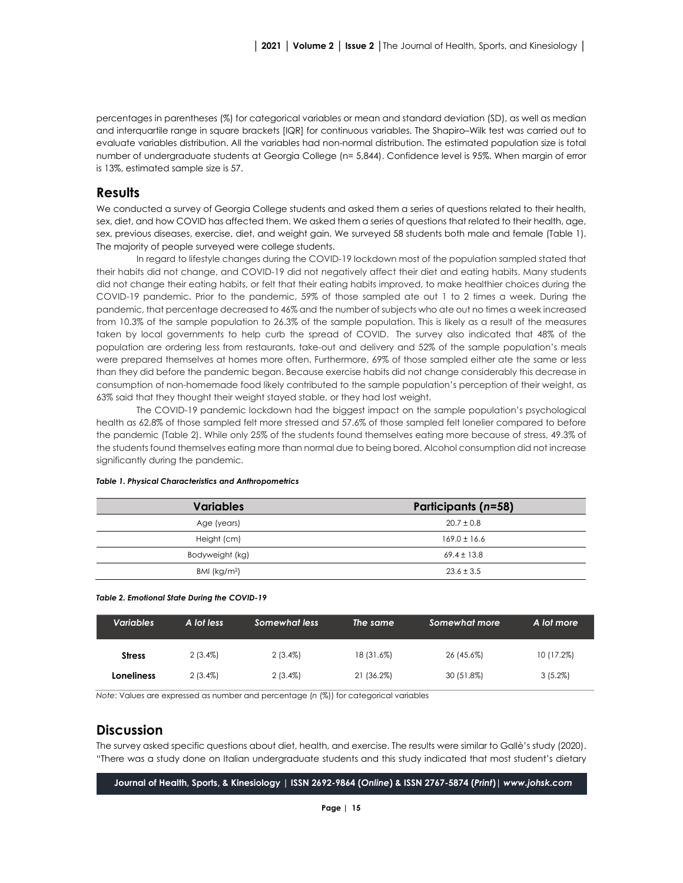percentages in parentheses (%) for categorical variables or mean and standard deviation (SD), as well as median and interquartile range in square brackets [IQR] for continuous variables. The Shapiro–Wilk test was carried out to evaluate variables distribution. All the variables had non-normal distribution. The estimated population size is total number of undergraduate students at Georgia College (n= 5,844). Confidence level is 95%. When margin of error is 13%, estimated sample size is 57.

#### **Results**

We conducted a survey of Georgia College students and asked them a series of questions related to their health, sex, diet, and how COVID has affected them. We asked them a series of questions that related to their health, age, sex, previous diseases, exercise, diet, and weight gain. We surveyed 58 students both male and female (Table 1). The majority of people surveyed were college students.

In regard to lifestyle changes during the COVID-19 lockdown most of the population sampled stated that their habits did not change, and COVID-19 did not negatively affect their diet and eating habits. Many students did not change their eating habits, or felt that their eating habits improved, to make healthier choices during the COVID-19 pandemic. Prior to the pandemic, 59% of those sampled ate out 1 to 2 times a week. During the pandemic, that percentage decreased to 46% and the number of subjects who ate out no times a week increased from 10.3% of the sample population to 26.3% of the sample population. This is likely as a result of the measures taken by local governments to help curb the spread of COVID. The survey also indicated that 48% of the population are ordering less from restaurants, take-out and delivery and 52% of the sample population's meals were prepared themselves at homes more often. Furthermore, 69% of those sampled either ate the same or less than they did before the pandemic began. Because exercise habits did not change considerably this decrease in consumption of non-homemade food likely contributed to the sample population's perception of their weight, as 63% said that they thought their weight stayed stable, or they had lost weight.

The COVID-19 pandemic lockdown had the biggest impact on the sample population's psychological health as 62.8% of those sampled felt more stressed and 57.6% of those sampled felt lonelier compared to before the pandemic (Table 2). While only 25% of the students found themselves eating more because of stress, 49.3% of the students found themselves eating more than normal due to being bored. Alcohol consumption did not increase significantly during the pandemic.

| <b>Variables</b> | <b>Participants (n=58)</b> |  |  |
|------------------|----------------------------|--|--|
| Age (years)      | $20.7 \pm 0.8$             |  |  |
| Height (cm)      | $169.0 \pm 16.6$           |  |  |
| Bodyweight (kg)  | $69.4 \pm 13.8$            |  |  |
| BMI ( $kg/m2$ )  | $23.6 \pm 3.5$             |  |  |

#### *Table 1. Physical Characteristics and Anthropometrics*

*Table 2. Emotional State During the COVID-19*

| <b>Variables</b> | A lot less | Somewhat less | The same   | Somewhat more | A lot more |
|------------------|------------|---------------|------------|---------------|------------|
| <b>Stress</b>    | $2(3.4\%)$ | $2(3.4\%)$    | 18 (31.6%) | 26 (45.6%)    | 10 (17.2%) |
| Loneliness       | $2(3.4\%)$ | $2(3.4\%)$    | 21 (36.2%) | 30 (51.8%)    | $3(5.2\%)$ |

*Note*: Values are expressed as number and percentage (*n* (%)) for categorical variables

#### **Discussion**

The survey asked specific questions about diet, health, and exercise. The results were similar to Gallè's study (2020). "There was a study done on Italian undergraduate students and this study indicated that most student's dietary

**Journal of Health, Sports, & Kinesiology | ISSN 2692-9864 (***Online***) & ISSN 2767-5874 (***Print***)|** *www.johsk.com*